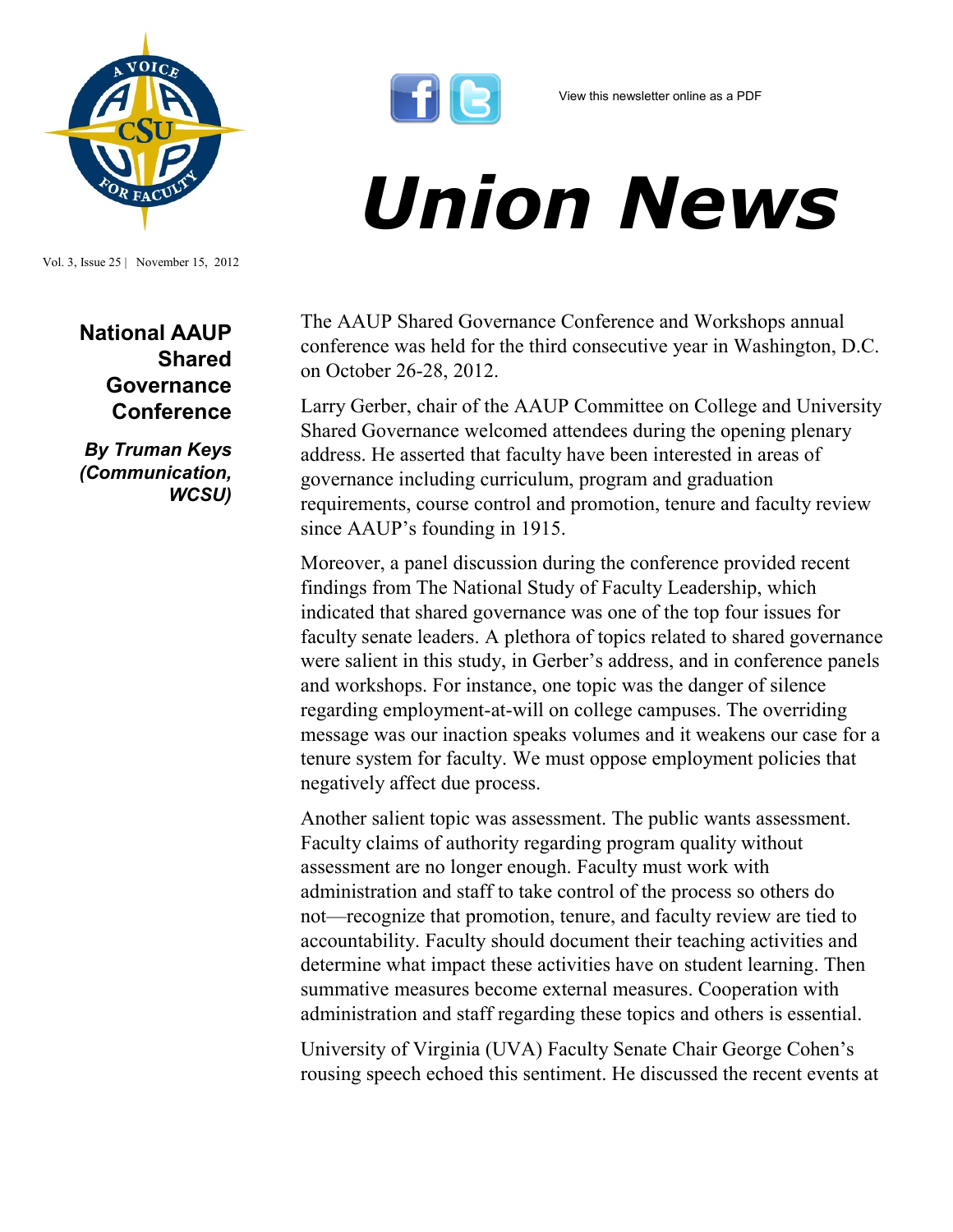

Vol. 3, Issue 25 | November 15, 2012

**National AAUP Shared Governance Conference** 

*By Truman Keys (Communication, WCSU)*



## *Union News*

The AAUP Shared Governance Conference and Workshops annual conference was held for the third consecutive year in Washington, D.C. on October 26-28, 2012.

Larry Gerber, chair of the AAUP Committee on College and University Shared Governance welcomed attendees during the opening plenary address. He asserted that faculty have been interested in areas of governance including curriculum, program and graduation requirements, course control and promotion, tenure and faculty review since AAUP's founding in 1915.

Moreover, a panel discussion during the conference provided recent findings from The National Study of Faculty Leadership, which indicated that shared governance was one of the top four issues for faculty senate leaders. A plethora of topics related to shared governance were salient in this study, in Gerber's address, and in conference panels and workshops. For instance, one topic was the danger of silence regarding employment-at-will on college campuses. The overriding message was our inaction speaks volumes and it weakens our case for a tenure system for faculty. We must oppose employment policies that negatively affect due process.

Another salient topic was assessment. The public wants assessment. Faculty claims of authority regarding program quality without assessment are no longer enough. Faculty must work with administration and staff to take control of the process so others do not—recognize that promotion, tenure, and faculty review are tied to accountability. Faculty should document their teaching activities and determine what impact these activities have on student learning. Then summative measures become external measures. Cooperation with administration and staff regarding these topics and others is essential.

University of Virginia (UVA) Faculty Senate Chair George Cohen's rousing speech echoed this sentiment. He discussed the recent events at